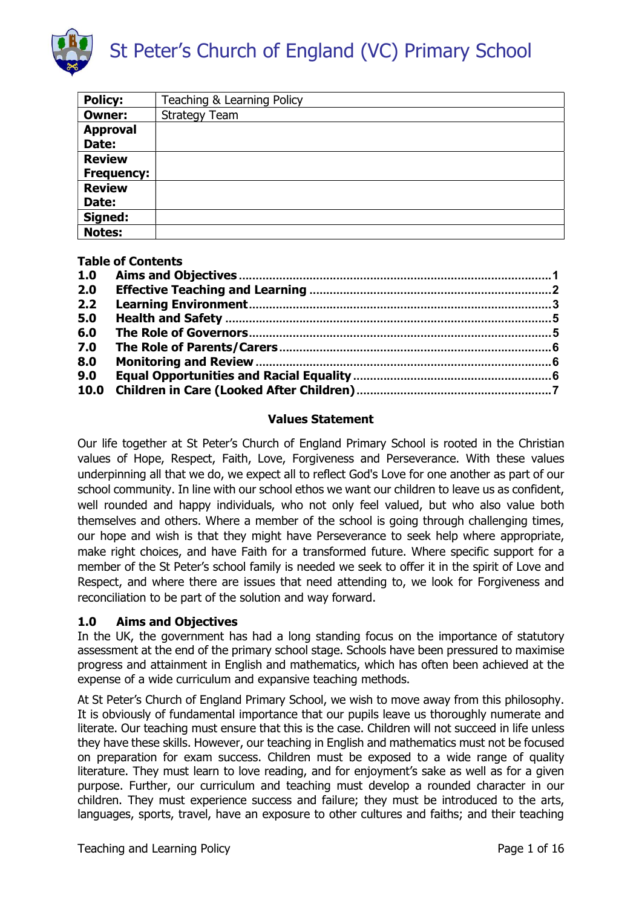

| <b>Policy:</b>    | Teaching & Learning Policy |
|-------------------|----------------------------|
| <b>Owner:</b>     | <b>Strategy Team</b>       |
| <b>Approval</b>   |                            |
| Date:             |                            |
| <b>Review</b>     |                            |
| <b>Frequency:</b> |                            |
| <b>Review</b>     |                            |
| Date:             |                            |
| Signed:           |                            |
| <b>Notes:</b>     |                            |

#### Table of Contents

| 1.0 |  |
|-----|--|
| 2.0 |  |
| 2.2 |  |
| 5.0 |  |
| 6.0 |  |
| 7.0 |  |
| 8.0 |  |
| 9.0 |  |
|     |  |
|     |  |

#### Values Statement

Our life together at St Peter's Church of England Primary School is rooted in the Christian values of Hope, Respect, Faith, Love, Forgiveness and Perseverance. With these values underpinning all that we do, we expect all to reflect God's Love for one another as part of our school community. In line with our school ethos we want our children to leave us as confident, well rounded and happy individuals, who not only feel valued, but who also value both themselves and others. Where a member of the school is going through challenging times, our hope and wish is that they might have Perseverance to seek help where appropriate, make right choices, and have Faith for a transformed future. Where specific support for a member of the St Peter's school family is needed we seek to offer it in the spirit of Love and Respect, and where there are issues that need attending to, we look for Forgiveness and reconciliation to be part of the solution and way forward.

#### 1.0 Aims and Objectives

In the UK, the government has had a long standing focus on the importance of statutory assessment at the end of the primary school stage. Schools have been pressured to maximise progress and attainment in English and mathematics, which has often been achieved at the expense of a wide curriculum and expansive teaching methods.

At St Peter's Church of England Primary School, we wish to move away from this philosophy. It is obviously of fundamental importance that our pupils leave us thoroughly numerate and literate. Our teaching must ensure that this is the case. Children will not succeed in life unless they have these skills. However, our teaching in English and mathematics must not be focused on preparation for exam success. Children must be exposed to a wide range of quality literature. They must learn to love reading, and for enjoyment's sake as well as for a given purpose. Further, our curriculum and teaching must develop a rounded character in our children. They must experience success and failure; they must be introduced to the arts, languages, sports, travel, have an exposure to other cultures and faiths; and their teaching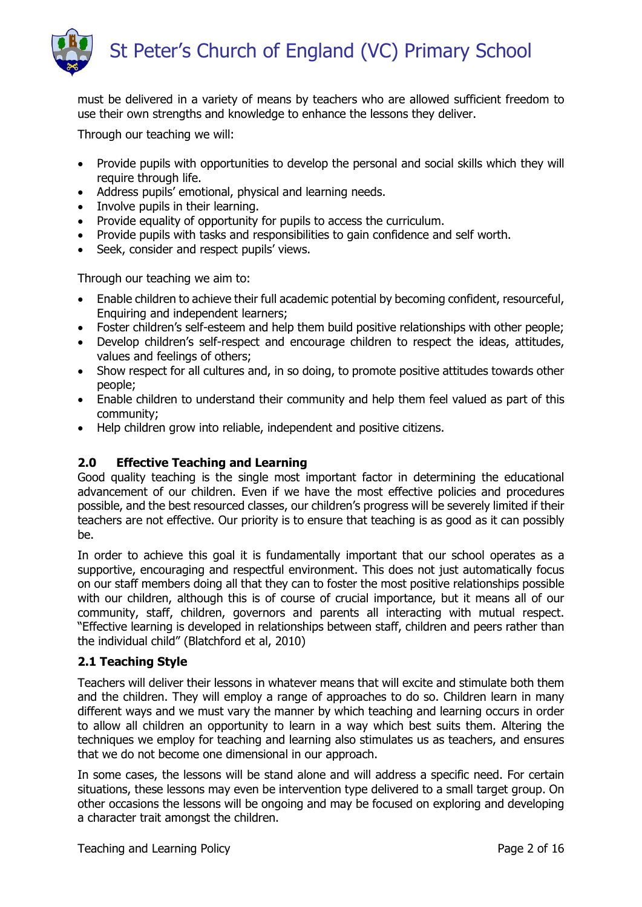

must be delivered in a variety of means by teachers who are allowed sufficient freedom to use their own strengths and knowledge to enhance the lessons they deliver.

Through our teaching we will:

- Provide pupils with opportunities to develop the personal and social skills which they will require through life.
- Address pupils' emotional, physical and learning needs.
- Involve pupils in their learning.
- Provide equality of opportunity for pupils to access the curriculum.
- Provide pupils with tasks and responsibilities to gain confidence and self worth.
- Seek, consider and respect pupils' views.

Through our teaching we aim to:

- Enable children to achieve their full academic potential by becoming confident, resourceful, Enquiring and independent learners;
- Foster children's self-esteem and help them build positive relationships with other people;
- Develop children's self-respect and encourage children to respect the ideas, attitudes, values and feelings of others;
- Show respect for all cultures and, in so doing, to promote positive attitudes towards other people;
- Enable children to understand their community and help them feel valued as part of this community;
- Help children grow into reliable, independent and positive citizens.

# 2.0 Effective Teaching and Learning

Good quality teaching is the single most important factor in determining the educational advancement of our children. Even if we have the most effective policies and procedures possible, and the best resourced classes, our children's progress will be severely limited if their teachers are not effective. Our priority is to ensure that teaching is as good as it can possibly be.

In order to achieve this goal it is fundamentally important that our school operates as a supportive, encouraging and respectful environment. This does not just automatically focus on our staff members doing all that they can to foster the most positive relationships possible with our children, although this is of course of crucial importance, but it means all of our community, staff, children, governors and parents all interacting with mutual respect. "Effective learning is developed in relationships between staff, children and peers rather than the individual child" (Blatchford et al, 2010)

#### 2.1 Teaching Style

Teachers will deliver their lessons in whatever means that will excite and stimulate both them and the children. They will employ a range of approaches to do so. Children learn in many different ways and we must vary the manner by which teaching and learning occurs in order to allow all children an opportunity to learn in a way which best suits them. Altering the techniques we employ for teaching and learning also stimulates us as teachers, and ensures that we do not become one dimensional in our approach.

In some cases, the lessons will be stand alone and will address a specific need. For certain situations, these lessons may even be intervention type delivered to a small target group. On other occasions the lessons will be ongoing and may be focused on exploring and developing a character trait amongst the children.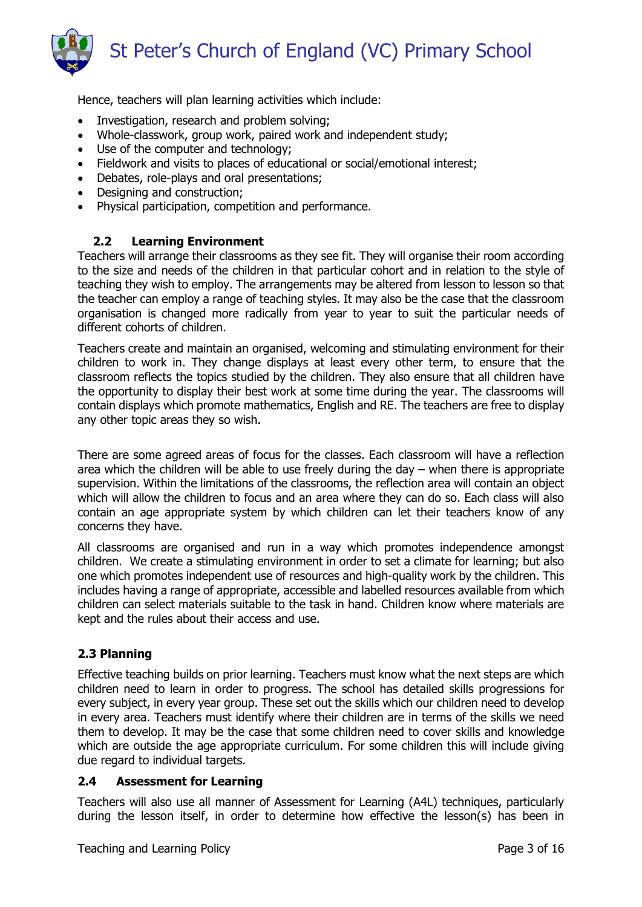

Hence, teachers will plan learning activities which include:

- Investigation, research and problem solving;
- Whole-classwork, group work, paired work and independent study;
- Use of the computer and technology;
- Fieldwork and visits to places of educational or social/emotional interest;
- Debates, role-plays and oral presentations;
- Designing and construction;
- Physical participation, competition and performance.

# 2.2 Learning Environment

Teachers will arrange their classrooms as they see fit. They will organise their room according to the size and needs of the children in that particular cohort and in relation to the style of teaching they wish to employ. The arrangements may be altered from lesson to lesson so that the teacher can employ a range of teaching styles. It may also be the case that the classroom organisation is changed more radically from year to year to suit the particular needs of different cohorts of children.

Teachers create and maintain an organised, welcoming and stimulating environment for their children to work in. They change displays at least every other term, to ensure that the classroom reflects the topics studied by the children. They also ensure that all children have the opportunity to display their best work at some time during the year. The classrooms will contain displays which promote mathematics, English and RE. The teachers are free to display any other topic areas they so wish.

There are some agreed areas of focus for the classes. Each classroom will have a reflection area which the children will be able to use freely during the day – when there is appropriate supervision. Within the limitations of the classrooms, the reflection area will contain an object which will allow the children to focus and an area where they can do so. Each class will also contain an age appropriate system by which children can let their teachers know of any concerns they have.

All classrooms are organised and run in a way which promotes independence amongst children. We create a stimulating environment in order to set a climate for learning; but also one which promotes independent use of resources and high-quality work by the children. This includes having a range of appropriate, accessible and labelled resources available from which children can select materials suitable to the task in hand. Children know where materials are kept and the rules about their access and use.

#### 2.3 Planning

Effective teaching builds on prior learning. Teachers must know what the next steps are which children need to learn in order to progress. The school has detailed skills progressions for every subject, in every year group. These set out the skills which our children need to develop in every area. Teachers must identify where their children are in terms of the skills we need them to develop. It may be the case that some children need to cover skills and knowledge which are outside the age appropriate curriculum. For some children this will include giving due regard to individual targets.

#### 2.4 Assessment for Learning

Teachers will also use all manner of Assessment for Learning (A4L) techniques, particularly during the lesson itself, in order to determine how effective the lesson(s) has been in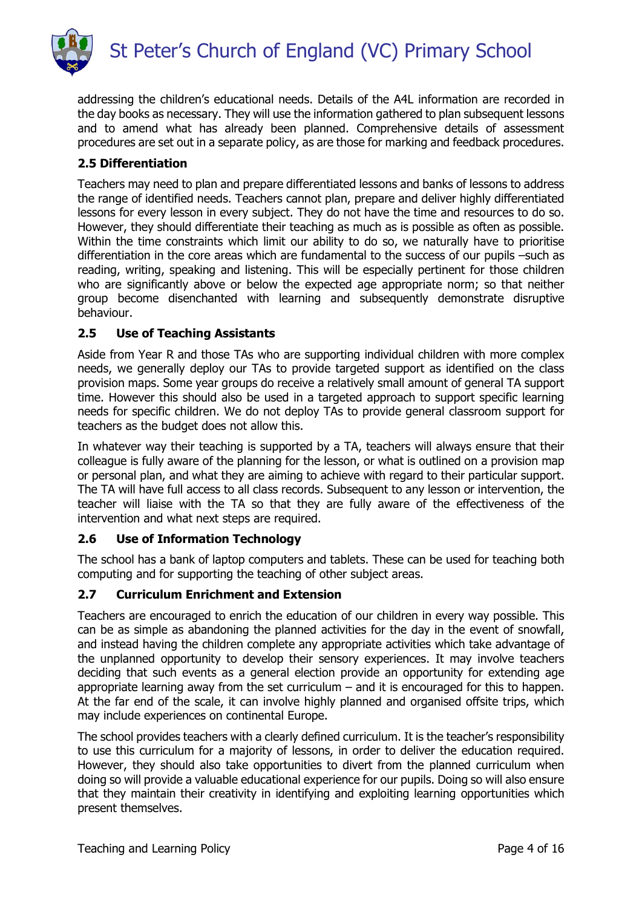

addressing the children's educational needs. Details of the A4L information are recorded in the day books as necessary. They will use the information gathered to plan subsequent lessons and to amend what has already been planned. Comprehensive details of assessment procedures are set out in a separate policy, as are those for marking and feedback procedures.

## 2.5 Differentiation

Teachers may need to plan and prepare differentiated lessons and banks of lessons to address the range of identified needs. Teachers cannot plan, prepare and deliver highly differentiated lessons for every lesson in every subject. They do not have the time and resources to do so. However, they should differentiate their teaching as much as is possible as often as possible. Within the time constraints which limit our ability to do so, we naturally have to prioritise differentiation in the core areas which are fundamental to the success of our pupils –such as reading, writing, speaking and listening. This will be especially pertinent for those children who are significantly above or below the expected age appropriate norm; so that neither group become disenchanted with learning and subsequently demonstrate disruptive behaviour.

## 2.5 Use of Teaching Assistants

Aside from Year R and those TAs who are supporting individual children with more complex needs, we generally deploy our TAs to provide targeted support as identified on the class provision maps. Some year groups do receive a relatively small amount of general TA support time. However this should also be used in a targeted approach to support specific learning needs for specific children. We do not deploy TAs to provide general classroom support for teachers as the budget does not allow this.

In whatever way their teaching is supported by a TA, teachers will always ensure that their colleague is fully aware of the planning for the lesson, or what is outlined on a provision map or personal plan, and what they are aiming to achieve with regard to their particular support. The TA will have full access to all class records. Subsequent to any lesson or intervention, the teacher will liaise with the TA so that they are fully aware of the effectiveness of the intervention and what next steps are required.

#### 2.6 Use of Information Technology

The school has a bank of laptop computers and tablets. These can be used for teaching both computing and for supporting the teaching of other subject areas.

#### 2.7 Curriculum Enrichment and Extension

Teachers are encouraged to enrich the education of our children in every way possible. This can be as simple as abandoning the planned activities for the day in the event of snowfall, and instead having the children complete any appropriate activities which take advantage of the unplanned opportunity to develop their sensory experiences. It may involve teachers deciding that such events as a general election provide an opportunity for extending age appropriate learning away from the set curriculum – and it is encouraged for this to happen. At the far end of the scale, it can involve highly planned and organised offsite trips, which may include experiences on continental Europe.

The school provides teachers with a clearly defined curriculum. It is the teacher's responsibility to use this curriculum for a majority of lessons, in order to deliver the education required. However, they should also take opportunities to divert from the planned curriculum when doing so will provide a valuable educational experience for our pupils. Doing so will also ensure that they maintain their creativity in identifying and exploiting learning opportunities which present themselves.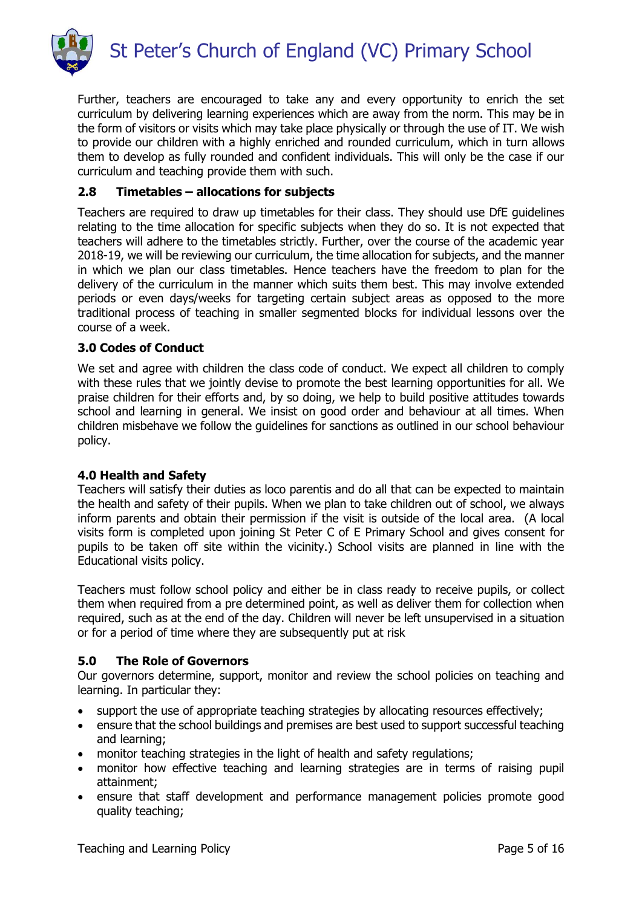

Further, teachers are encouraged to take any and every opportunity to enrich the set curriculum by delivering learning experiences which are away from the norm. This may be in the form of visitors or visits which may take place physically or through the use of IT. We wish to provide our children with a highly enriched and rounded curriculum, which in turn allows them to develop as fully rounded and confident individuals. This will only be the case if our curriculum and teaching provide them with such.

## 2.8 Timetables – allocations for subjects

Teachers are required to draw up timetables for their class. They should use DfE guidelines relating to the time allocation for specific subjects when they do so. It is not expected that teachers will adhere to the timetables strictly. Further, over the course of the academic year 2018-19, we will be reviewing our curriculum, the time allocation for subjects, and the manner in which we plan our class timetables. Hence teachers have the freedom to plan for the delivery of the curriculum in the manner which suits them best. This may involve extended periods or even days/weeks for targeting certain subject areas as opposed to the more traditional process of teaching in smaller segmented blocks for individual lessons over the course of a week.

## 3.0 Codes of Conduct

We set and agree with children the class code of conduct. We expect all children to comply with these rules that we jointly devise to promote the best learning opportunities for all. We praise children for their efforts and, by so doing, we help to build positive attitudes towards school and learning in general. We insist on good order and behaviour at all times. When children misbehave we follow the guidelines for sanctions as outlined in our school behaviour policy.

#### 4.0 Health and Safety

Teachers will satisfy their duties as loco parentis and do all that can be expected to maintain the health and safety of their pupils. When we plan to take children out of school, we always inform parents and obtain their permission if the visit is outside of the local area. (A local visits form is completed upon joining St Peter C of E Primary School and gives consent for pupils to be taken off site within the vicinity.) School visits are planned in line with the Educational visits policy.

Teachers must follow school policy and either be in class ready to receive pupils, or collect them when required from a pre determined point, as well as deliver them for collection when required, such as at the end of the day. Children will never be left unsupervised in a situation or for a period of time where they are subsequently put at risk

#### 5.0 The Role of Governors

Our governors determine, support, monitor and review the school policies on teaching and learning. In particular they:

- support the use of appropriate teaching strategies by allocating resources effectively;
- ensure that the school buildings and premises are best used to support successful teaching and learning;
- monitor teaching strategies in the light of health and safety regulations:
- monitor how effective teaching and learning strategies are in terms of raising pupil attainment;
- ensure that staff development and performance management policies promote good quality teaching;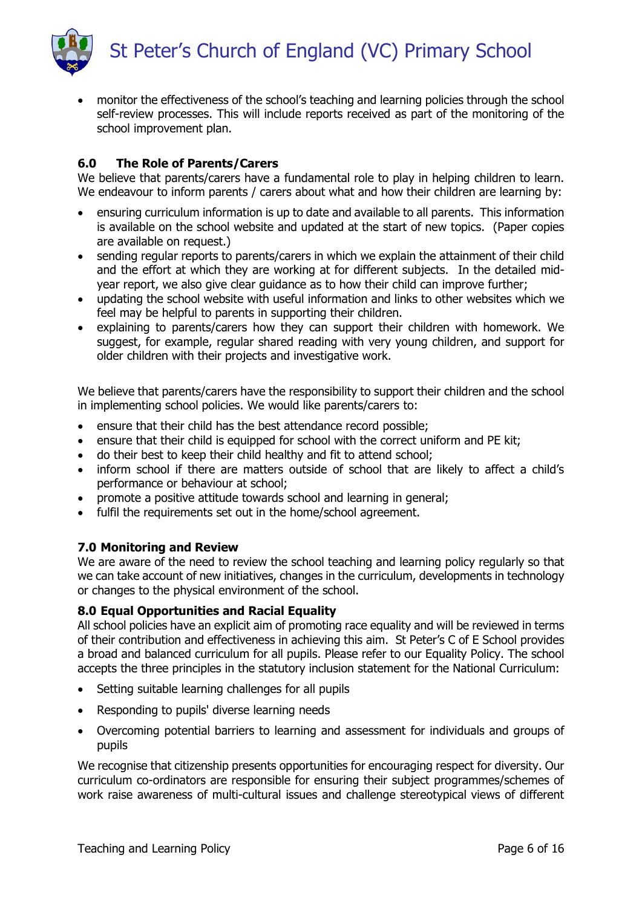St Peter's Church of England (VC) Primary School



 monitor the effectiveness of the school's teaching and learning policies through the school self-review processes. This will include reports received as part of the monitoring of the school improvement plan.

# 6.0 The Role of Parents/Carers

We believe that parents/carers have a fundamental role to play in helping children to learn. We endeavour to inform parents / carers about what and how their children are learning by:

- ensuring curriculum information is up to date and available to all parents. This information is available on the school website and updated at the start of new topics. (Paper copies are available on request.)
- sending regular reports to parents/carers in which we explain the attainment of their child and the effort at which they are working at for different subjects. In the detailed midyear report, we also give clear guidance as to how their child can improve further;
- updating the school website with useful information and links to other websites which we feel may be helpful to parents in supporting their children.
- explaining to parents/carers how they can support their children with homework. We suggest, for example, regular shared reading with very young children, and support for older children with their projects and investigative work.

We believe that parents/carers have the responsibility to support their children and the school in implementing school policies. We would like parents/carers to:

- ensure that their child has the best attendance record possible;
- ensure that their child is equipped for school with the correct uniform and PE kit;
- do their best to keep their child healthy and fit to attend school;
- inform school if there are matters outside of school that are likely to affect a child's performance or behaviour at school;
- promote a positive attitude towards school and learning in general;
- fulfil the requirements set out in the home/school agreement.

#### 7.0 Monitoring and Review

We are aware of the need to review the school teaching and learning policy regularly so that we can take account of new initiatives, changes in the curriculum, developments in technology or changes to the physical environment of the school.

#### 8.0 Equal Opportunities and Racial Equality

All school policies have an explicit aim of promoting race equality and will be reviewed in terms of their contribution and effectiveness in achieving this aim. St Peter's C of E School provides a broad and balanced curriculum for all pupils. Please refer to our Equality Policy. The school accepts the three principles in the statutory inclusion statement for the National Curriculum:

- Setting suitable learning challenges for all pupils
- Responding to pupils' diverse learning needs
- Overcoming potential barriers to learning and assessment for individuals and groups of pupils

We recognise that citizenship presents opportunities for encouraging respect for diversity. Our curriculum co-ordinators are responsible for ensuring their subject programmes/schemes of work raise awareness of multi-cultural issues and challenge stereotypical views of different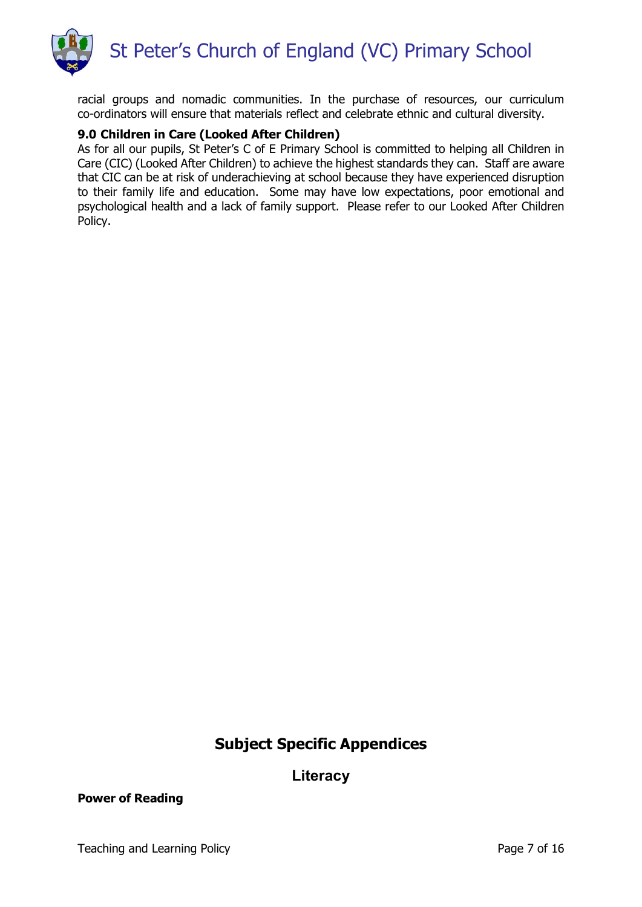

racial groups and nomadic communities. In the purchase of resources, our curriculum co-ordinators will ensure that materials reflect and celebrate ethnic and cultural diversity.

#### 9.0 Children in Care (Looked After Children)

As for all our pupils, St Peter's C of E Primary School is committed to helping all Children in Care (CIC) (Looked After Children) to achieve the highest standards they can. Staff are aware that CIC can be at risk of underachieving at school because they have experienced disruption to their family life and education. Some may have low expectations, poor emotional and psychological health and a lack of family support. Please refer to our Looked After Children Policy.

# Subject Specific Appendices

# **Literacy**

#### Power of Reading

Teaching and Learning Policy **Page 7 of 16** Page 7 of 16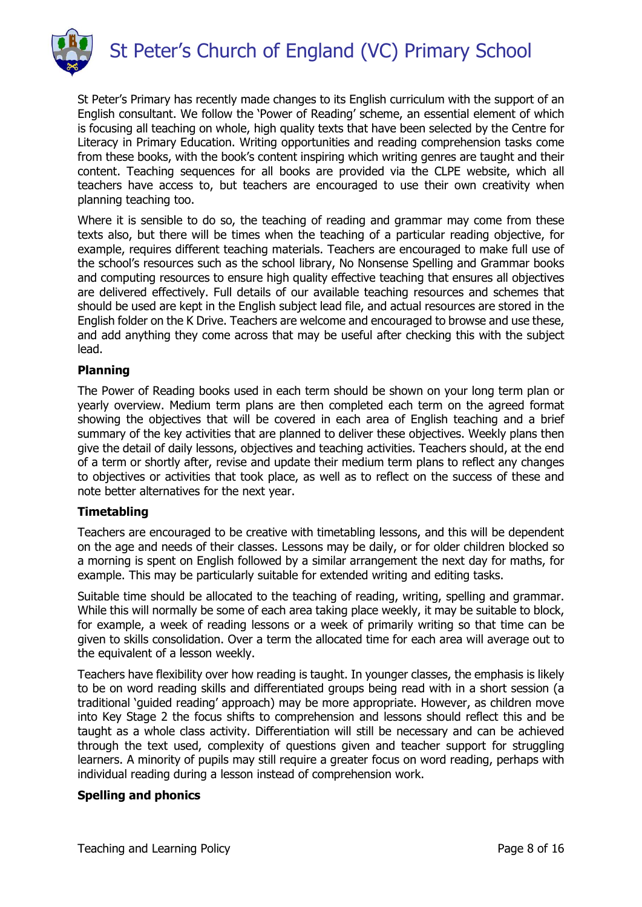

St Peter's Primary has recently made changes to its English curriculum with the support of an English consultant. We follow the 'Power of Reading' scheme, an essential element of which is focusing all teaching on whole, high quality texts that have been selected by the Centre for Literacy in Primary Education. Writing opportunities and reading comprehension tasks come from these books, with the book's content inspiring which writing genres are taught and their content. Teaching sequences for all books are provided via the CLPE website, which all teachers have access to, but teachers are encouraged to use their own creativity when planning teaching too.

Where it is sensible to do so, the teaching of reading and grammar may come from these texts also, but there will be times when the teaching of a particular reading objective, for example, requires different teaching materials. Teachers are encouraged to make full use of the school's resources such as the school library, No Nonsense Spelling and Grammar books and computing resources to ensure high quality effective teaching that ensures all objectives are delivered effectively. Full details of our available teaching resources and schemes that should be used are kept in the English subject lead file, and actual resources are stored in the English folder on the K Drive. Teachers are welcome and encouraged to browse and use these, and add anything they come across that may be useful after checking this with the subject lead.

## Planning

The Power of Reading books used in each term should be shown on your long term plan or yearly overview. Medium term plans are then completed each term on the agreed format showing the objectives that will be covered in each area of English teaching and a brief summary of the key activities that are planned to deliver these objectives. Weekly plans then give the detail of daily lessons, objectives and teaching activities. Teachers should, at the end of a term or shortly after, revise and update their medium term plans to reflect any changes to objectives or activities that took place, as well as to reflect on the success of these and note better alternatives for the next year.

#### **Timetabling**

Teachers are encouraged to be creative with timetabling lessons, and this will be dependent on the age and needs of their classes. Lessons may be daily, or for older children blocked so a morning is spent on English followed by a similar arrangement the next day for maths, for example. This may be particularly suitable for extended writing and editing tasks.

Suitable time should be allocated to the teaching of reading, writing, spelling and grammar. While this will normally be some of each area taking place weekly, it may be suitable to block, for example, a week of reading lessons or a week of primarily writing so that time can be given to skills consolidation. Over a term the allocated time for each area will average out to the equivalent of a lesson weekly.

Teachers have flexibility over how reading is taught. In younger classes, the emphasis is likely to be on word reading skills and differentiated groups being read with in a short session (a traditional 'guided reading' approach) may be more appropriate. However, as children move into Key Stage 2 the focus shifts to comprehension and lessons should reflect this and be taught as a whole class activity. Differentiation will still be necessary and can be achieved through the text used, complexity of questions given and teacher support for struggling learners. A minority of pupils may still require a greater focus on word reading, perhaps with individual reading during a lesson instead of comprehension work.

#### Spelling and phonics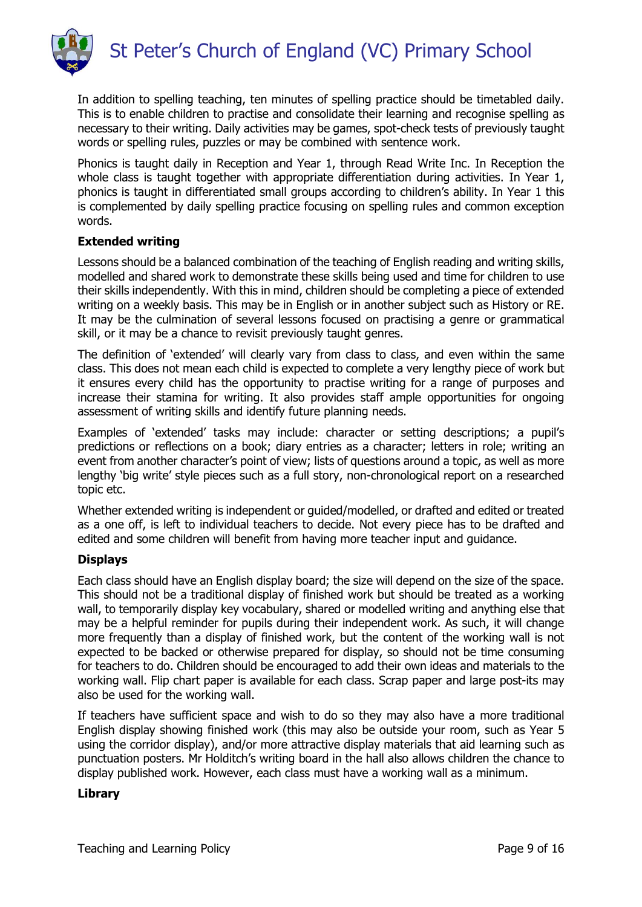

In addition to spelling teaching, ten minutes of spelling practice should be timetabled daily. This is to enable children to practise and consolidate their learning and recognise spelling as necessary to their writing. Daily activities may be games, spot-check tests of previously taught words or spelling rules, puzzles or may be combined with sentence work.

Phonics is taught daily in Reception and Year 1, through Read Write Inc. In Reception the whole class is taught together with appropriate differentiation during activities. In Year 1, phonics is taught in differentiated small groups according to children's ability. In Year 1 this is complemented by daily spelling practice focusing on spelling rules and common exception words.

#### Extended writing

Lessons should be a balanced combination of the teaching of English reading and writing skills, modelled and shared work to demonstrate these skills being used and time for children to use their skills independently. With this in mind, children should be completing a piece of extended writing on a weekly basis. This may be in English or in another subject such as History or RE. It may be the culmination of several lessons focused on practising a genre or grammatical skill, or it may be a chance to revisit previously taught genres.

The definition of 'extended' will clearly vary from class to class, and even within the same class. This does not mean each child is expected to complete a very lengthy piece of work but it ensures every child has the opportunity to practise writing for a range of purposes and increase their stamina for writing. It also provides staff ample opportunities for ongoing assessment of writing skills and identify future planning needs.

Examples of 'extended' tasks may include: character or setting descriptions; a pupil's predictions or reflections on a book; diary entries as a character; letters in role; writing an event from another character's point of view; lists of questions around a topic, as well as more lengthy 'big write' style pieces such as a full story, non-chronological report on a researched topic etc.

Whether extended writing is independent or guided/modelled, or drafted and edited or treated as a one off, is left to individual teachers to decide. Not every piece has to be drafted and edited and some children will benefit from having more teacher input and guidance.

#### **Displays**

Each class should have an English display board; the size will depend on the size of the space. This should not be a traditional display of finished work but should be treated as a working wall, to temporarily display key vocabulary, shared or modelled writing and anything else that may be a helpful reminder for pupils during their independent work. As such, it will change more frequently than a display of finished work, but the content of the working wall is not expected to be backed or otherwise prepared for display, so should not be time consuming for teachers to do. Children should be encouraged to add their own ideas and materials to the working wall. Flip chart paper is available for each class. Scrap paper and large post-its may also be used for the working wall.

If teachers have sufficient space and wish to do so they may also have a more traditional English display showing finished work (this may also be outside your room, such as Year 5 using the corridor display), and/or more attractive display materials that aid learning such as punctuation posters. Mr Holditch's writing board in the hall also allows children the chance to display published work. However, each class must have a working wall as a minimum.

#### Library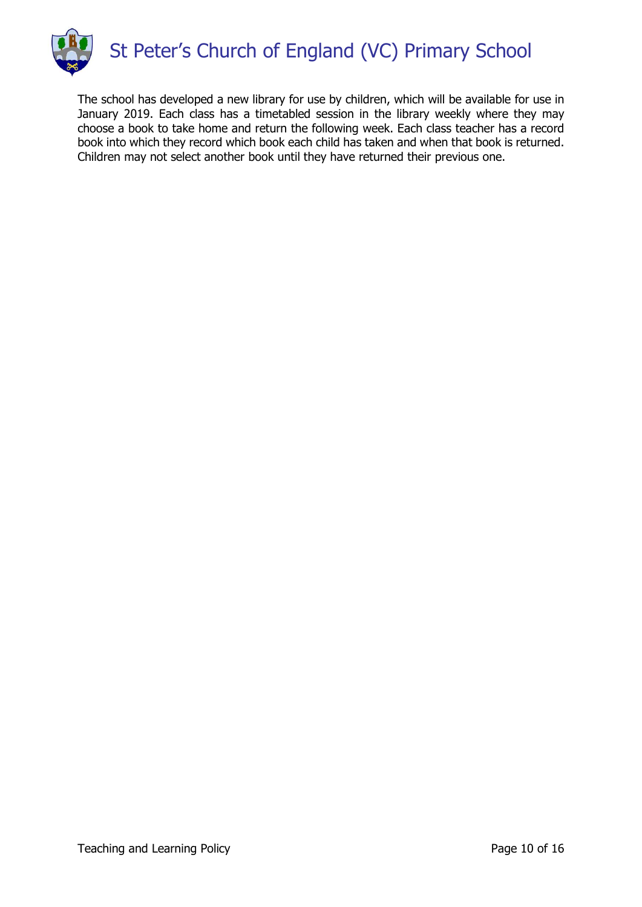

The school has developed a new library for use by children, which will be available for use in January 2019. Each class has a timetabled session in the library weekly where they may choose a book to take home and return the following week. Each class teacher has a record book into which they record which book each child has taken and when that book is returned. Children may not select another book until they have returned their previous one.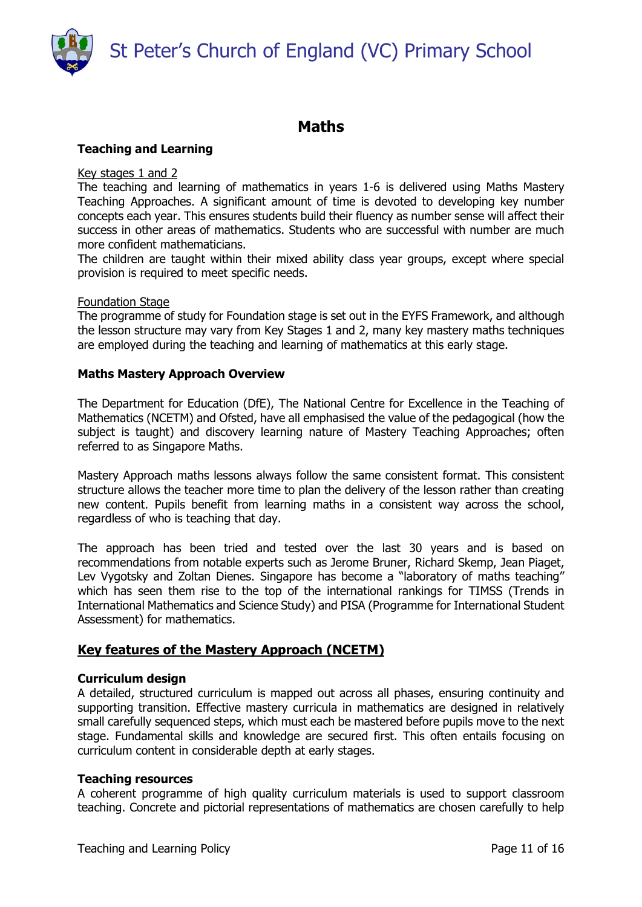St Peter's Church of England (VC) Primary School



# Maths

## Teaching and Learning

#### Key stages 1 and 2

The teaching and learning of mathematics in years 1-6 is delivered using Maths Mastery Teaching Approaches. A significant amount of time is devoted to developing key number concepts each year. This ensures students build their fluency as number sense will affect their success in other areas of mathematics. Students who are successful with number are much more confident mathematicians.

The children are taught within their mixed ability class year groups, except where special provision is required to meet specific needs.

#### Foundation Stage

The programme of study for Foundation stage is set out in the EYFS Framework, and although the lesson structure may vary from Key Stages 1 and 2, many key mastery maths techniques are employed during the teaching and learning of mathematics at this early stage.

#### Maths Mastery Approach Overview

The Department for Education (DfE), The National Centre for Excellence in the Teaching of Mathematics (NCETM) and Ofsted, have all emphasised the value of the pedagogical (how the subject is taught) and discovery learning nature of Mastery Teaching Approaches; often referred to as Singapore Maths.

Mastery Approach maths lessons always follow the same consistent format. This consistent structure allows the teacher more time to plan the delivery of the lesson rather than creating new content. Pupils benefit from learning maths in a consistent way across the school, regardless of who is teaching that day.

The approach has been tried and tested over the last 30 years and is based on recommendations from notable experts such as Jerome Bruner, Richard Skemp, Jean Piaget, Lev Vygotsky and Zoltan Dienes. Singapore has become a "laboratory of maths teaching" which has seen them rise to the top of the international rankings for TIMSS (Trends in International Mathematics and Science Study) and PISA (Programme for International Student Assessment) for mathematics.

# Key features of the Mastery Approach (NCETM)

#### Curriculum design

A detailed, structured curriculum is mapped out across all phases, ensuring continuity and supporting transition. Effective mastery curricula in mathematics are designed in relatively small carefully sequenced steps, which must each be mastered before pupils move to the next stage. Fundamental skills and knowledge are secured first. This often entails focusing on curriculum content in considerable depth at early stages.

#### Teaching resources

A coherent programme of high quality curriculum materials is used to support classroom teaching. Concrete and pictorial representations of mathematics are chosen carefully to help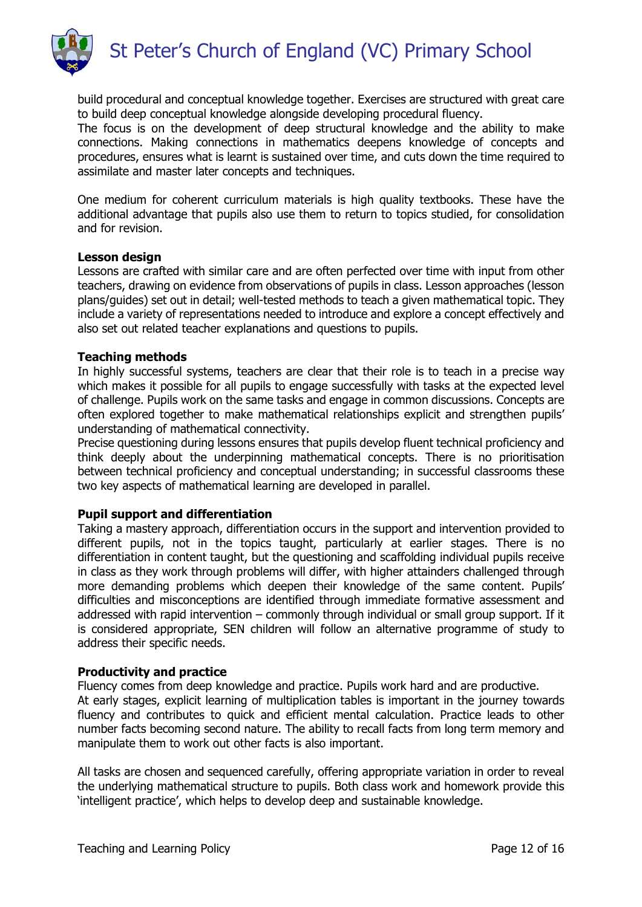

build procedural and conceptual knowledge together. Exercises are structured with great care to build deep conceptual knowledge alongside developing procedural fluency.

The focus is on the development of deep structural knowledge and the ability to make connections. Making connections in mathematics deepens knowledge of concepts and procedures, ensures what is learnt is sustained over time, and cuts down the time required to assimilate and master later concepts and techniques.

One medium for coherent curriculum materials is high quality textbooks. These have the additional advantage that pupils also use them to return to topics studied, for consolidation and for revision.

#### Lesson design

Lessons are crafted with similar care and are often perfected over time with input from other teachers, drawing on evidence from observations of pupils in class. Lesson approaches (lesson plans/guides) set out in detail; well-tested methods to teach a given mathematical topic. They include a variety of representations needed to introduce and explore a concept effectively and also set out related teacher explanations and questions to pupils.

#### Teaching methods

In highly successful systems, teachers are clear that their role is to teach in a precise way which makes it possible for all pupils to engage successfully with tasks at the expected level of challenge. Pupils work on the same tasks and engage in common discussions. Concepts are often explored together to make mathematical relationships explicit and strengthen pupils' understanding of mathematical connectivity.

Precise questioning during lessons ensures that pupils develop fluent technical proficiency and think deeply about the underpinning mathematical concepts. There is no prioritisation between technical proficiency and conceptual understanding; in successful classrooms these two key aspects of mathematical learning are developed in parallel.

## Pupil support and differentiation

Taking a mastery approach, differentiation occurs in the support and intervention provided to different pupils, not in the topics taught, particularly at earlier stages. There is no differentiation in content taught, but the questioning and scaffolding individual pupils receive in class as they work through problems will differ, with higher attainders challenged through more demanding problems which deepen their knowledge of the same content. Pupils' difficulties and misconceptions are identified through immediate formative assessment and addressed with rapid intervention – commonly through individual or small group support. If it is considered appropriate, SEN children will follow an alternative programme of study to address their specific needs.

#### Productivity and practice

Fluency comes from deep knowledge and practice. Pupils work hard and are productive. At early stages, explicit learning of multiplication tables is important in the journey towards fluency and contributes to quick and efficient mental calculation. Practice leads to other number facts becoming second nature. The ability to recall facts from long term memory and manipulate them to work out other facts is also important.

All tasks are chosen and sequenced carefully, offering appropriate variation in order to reveal the underlying mathematical structure to pupils. Both class work and homework provide this 'intelligent practice', which helps to develop deep and sustainable knowledge.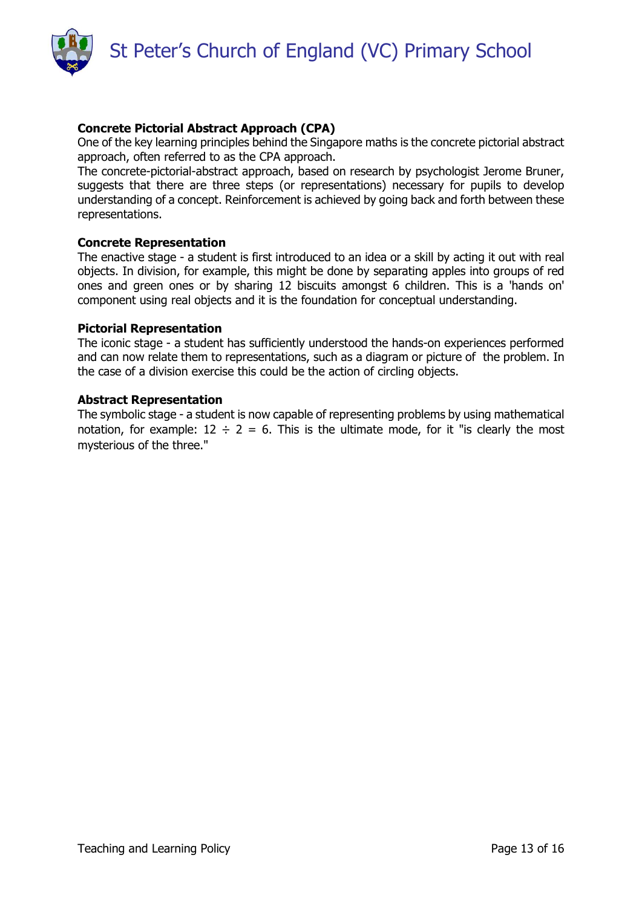

# Concrete Pictorial Abstract Approach (CPA)

One of the key learning principles behind the Singapore maths is the concrete pictorial abstract approach, often referred to as the CPA approach.

The concrete-pictorial-abstract approach, based on research by psychologist Jerome Bruner, suggests that there are three steps (or representations) necessary for pupils to develop understanding of a concept. Reinforcement is achieved by going back and forth between these representations.

#### Concrete Representation

The enactive stage - a student is first introduced to an idea or a skill by acting it out with real objects. In division, for example, this might be done by separating apples into groups of red ones and green ones or by sharing 12 biscuits amongst 6 children. This is a 'hands on' component using real objects and it is the foundation for conceptual understanding.

#### Pictorial Representation

The iconic stage - a student has sufficiently understood the hands-on experiences performed and can now relate them to representations, such as a diagram or picture of the problem. In the case of a division exercise this could be the action of circling objects.

#### Abstract Representation

The symbolic stage - a student is now capable of representing problems by using mathematical notation, for example:  $12 \div 2 = 6$ . This is the ultimate mode, for it "is clearly the most mysterious of the three."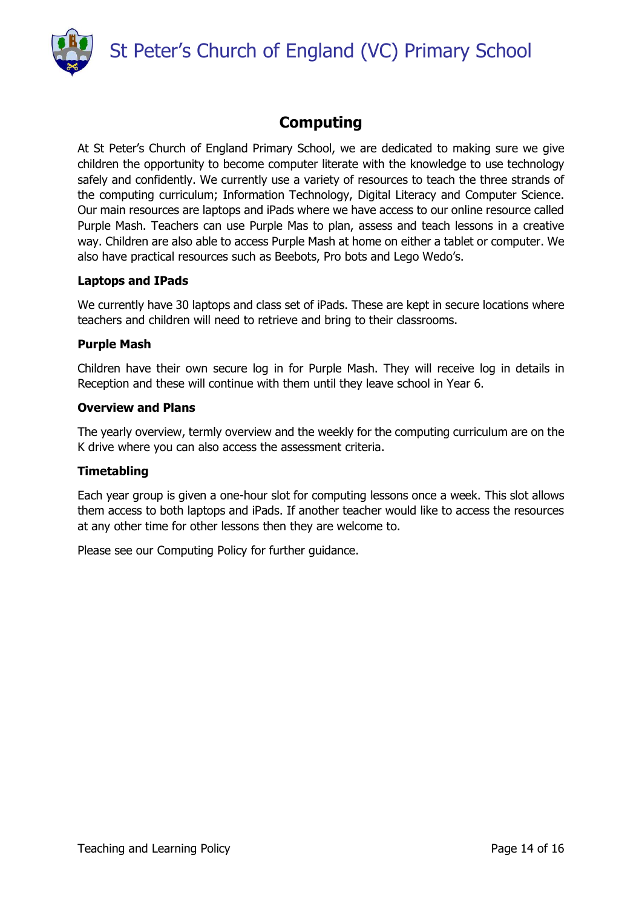St Peter's Church of England (VC) Primary School



# Computing

At St Peter's Church of England Primary School, we are dedicated to making sure we give children the opportunity to become computer literate with the knowledge to use technology safely and confidently. We currently use a variety of resources to teach the three strands of the computing curriculum; Information Technology, Digital Literacy and Computer Science. Our main resources are laptops and iPads where we have access to our online resource called Purple Mash. Teachers can use Purple Mas to plan, assess and teach lessons in a creative way. Children are also able to access Purple Mash at home on either a tablet or computer. We also have practical resources such as Beebots, Pro bots and Lego Wedo's.

## Laptops and IPads

We currently have 30 laptops and class set of iPads. These are kept in secure locations where teachers and children will need to retrieve and bring to their classrooms.

## Purple Mash

Children have their own secure log in for Purple Mash. They will receive log in details in Reception and these will continue with them until they leave school in Year 6.

## Overview and Plans

The yearly overview, termly overview and the weekly for the computing curriculum are on the K drive where you can also access the assessment criteria.

#### **Timetabling**

Each year group is given a one-hour slot for computing lessons once a week. This slot allows them access to both laptops and iPads. If another teacher would like to access the resources at any other time for other lessons then they are welcome to.

Please see our Computing Policy for further guidance.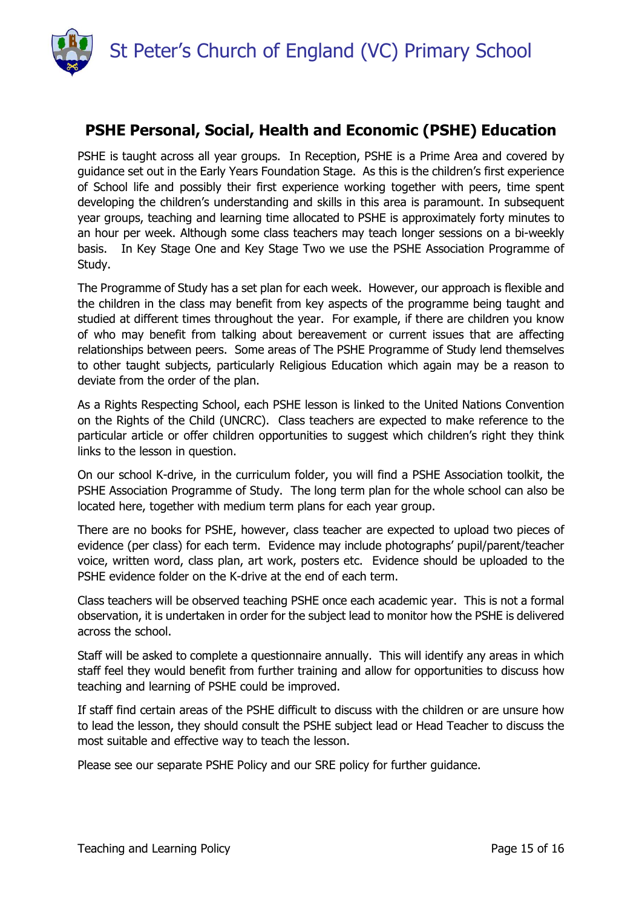

# PSHE Personal, Social, Health and Economic (PSHE) Education

PSHE is taught across all year groups. In Reception, PSHE is a Prime Area and covered by guidance set out in the Early Years Foundation Stage. As this is the children's first experience of School life and possibly their first experience working together with peers, time spent developing the children's understanding and skills in this area is paramount. In subsequent year groups, teaching and learning time allocated to PSHE is approximately forty minutes to an hour per week. Although some class teachers may teach longer sessions on a bi-weekly basis. In Key Stage One and Key Stage Two we use the PSHE Association Programme of Study.

The Programme of Study has a set plan for each week. However, our approach is flexible and the children in the class may benefit from key aspects of the programme being taught and studied at different times throughout the year. For example, if there are children you know of who may benefit from talking about bereavement or current issues that are affecting relationships between peers. Some areas of The PSHE Programme of Study lend themselves to other taught subjects, particularly Religious Education which again may be a reason to deviate from the order of the plan.

As a Rights Respecting School, each PSHE lesson is linked to the United Nations Convention on the Rights of the Child (UNCRC). Class teachers are expected to make reference to the particular article or offer children opportunities to suggest which children's right they think links to the lesson in question.

On our school K-drive, in the curriculum folder, you will find a PSHE Association toolkit, the PSHE Association Programme of Study. The long term plan for the whole school can also be located here, together with medium term plans for each year group.

There are no books for PSHE, however, class teacher are expected to upload two pieces of evidence (per class) for each term. Evidence may include photographs' pupil/parent/teacher voice, written word, class plan, art work, posters etc. Evidence should be uploaded to the PSHE evidence folder on the K-drive at the end of each term.

Class teachers will be observed teaching PSHE once each academic year. This is not a formal observation, it is undertaken in order for the subject lead to monitor how the PSHE is delivered across the school.

Staff will be asked to complete a questionnaire annually. This will identify any areas in which staff feel they would benefit from further training and allow for opportunities to discuss how teaching and learning of PSHE could be improved.

If staff find certain areas of the PSHE difficult to discuss with the children or are unsure how to lead the lesson, they should consult the PSHE subject lead or Head Teacher to discuss the most suitable and effective way to teach the lesson.

Please see our separate PSHE Policy and our SRE policy for further guidance.